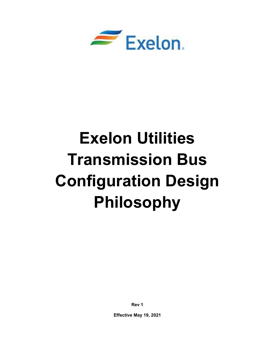

# Exelon Utilities Transmission Bus Configuration Design Philosophy

Rev 1

Effective May 19, 2021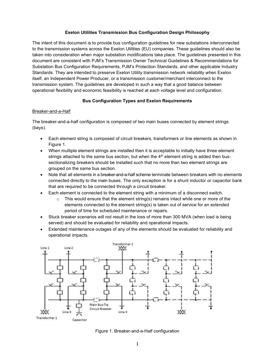## Exelon Utilities Transmission Bus Configuration Design Philosophy

The intent of this document is to provide bus configuration guidelines for new substations interconnected to the transmission systems across the Exelon Utilities (EU) companies. These guidelines should also be taken into consideration when major substation modifications take place. The guidelines presented in this document are consistent with PJM's Transmission Owner Technical Guidelines & Recommendations for Substation Bus Configuration Requirements, PJM's Protection Standards, and other applicable Industry Standards. They are intended to preserve Exelon Utility transmission network reliability when Exelon itself, an Independent Power Producer, or a transmission customer/merchant interconnect to the transmission system. The guidelines are developed in such a way that a good balance between operational flexibility and economic feasibility is reached at each voltage level and configuration.

## Bus Configuration Types and Exelon Requirements

#### Breaker-and-a-Half

The breaker-and-a-half configuration is composed of two main buses connected by element strings (bays).

- Each element string is composed of circuit breakers, transformers or line elements as shown in Figure 1.
- When multiple element strings are installed then it is acceptable to initially have three element strings attached to the same bus section, but when the  $4<sup>th</sup>$  element string is added then bussectionalizing breakers should be installed such that no more than two element strings are grouped on the same bus section.
- Note that all elements in a breaker-and-a-half scheme terminate between breakers with no elements connected directly to the main buses. The only exception is for a shunt inductor or capacitor bank that are required to be connected through a circuit breaker.
- Each element is connected to the element string with a minimum of a disconnect switch.
	- $\circ$  This would ensure that the element string(s) remains intact while one or more of the elements connected to the element string(s) is taken out of service for an extended period of time for scheduled maintenance or repairs.
- Stuck breaker scenarios will not result in the loss of more than 300 MVA (when load is being served) and should be evaluated for reliability and operational impacts.
- Extended maintenance outages of any of the elements should be evaluated for reliability and operational impacts.



Figure 1. Breaker-and-a-Half configuration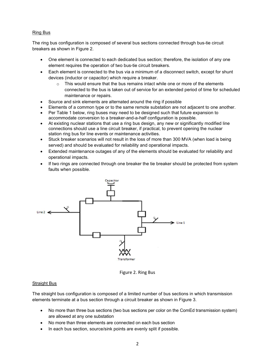## Ring Bus

The ring bus configuration is composed of several bus sections connected through bus-tie circuit breakers as shown in Figure 2.

- One element is connected to each dedicated bus section; therefore, the isolation of any one element requires the operation of two bus-tie circuit breakers.
- Each element is connected to the bus via a minimum of a disconnect switch, except for shunt devices (inductor or capacitor) which require a breaker.
	- $\circ$  This would ensure that the bus remains intact while one or more of the elements connected to the bus is taken out of service for an extended period of time for scheduled maintenance or repairs.
- Source and sink elements are alternated around the ring if possible
- Elements of a common type or to the same remote substation are not adjacent to one another.
- Per Table 1 below, ring buses may need to be designed such that future expansion to accommodate conversion to a breaker-and-a-half configuration is possible.
- At existing nuclear stations that use a ring bus design, any new or significantly modified line connections should use a line circuit breaker, if practical, to prevent opening the nuclear station ring bus for line events or maintenance activities.
- Stuck breaker scenarios will not result in the loss of more than 300 MVA (when load is being served) and should be evaluated for reliability and operational impacts.
- Extended maintenance outages of any of the elements should be evaluated for reliability and operational impacts.
- If two rings are connected through one breaker the tie breaker should be protected from system faults when possible.



Figure 2. Ring Bus

# Straight Bus

The straight bus configuration is composed of a limited number of bus sections in which transmission elements terminate at a bus section through a circuit breaker as shown in Figure 3.

- No more than three bus sections (two bus sections per color on the ComEd transmission system) are allowed at any one substation
- No more than three elements are connected on each bus section
- In each bus section, source/sink points are evenly split if possible.